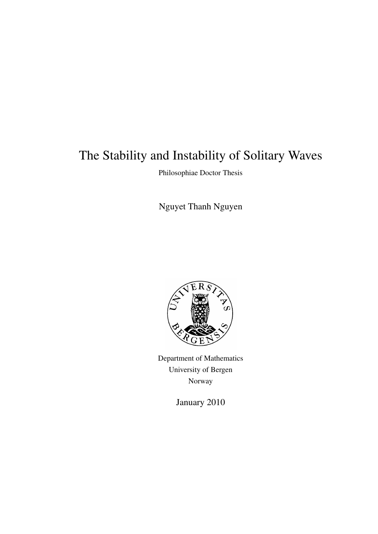# The Stability and Instability of Solitary Waves

Philosophiae Doctor Thesis

Nguyet Thanh Nguyen



Department of Mathematics University of Bergen Norway

January 2010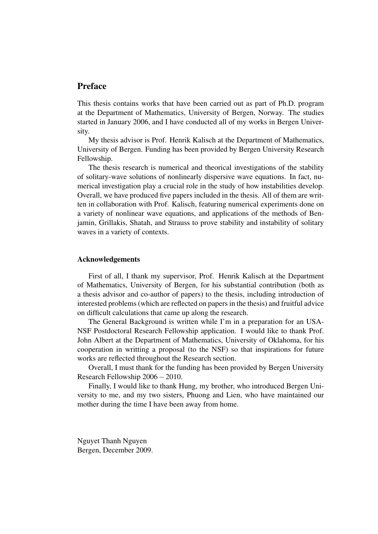### Preface

This thesis contains works that have been carried out as part of Ph.D. program at the Department of Mathematics, University of Bergen, Norway. The studies started in January 2006, and I have conducted all of my works in Bergen University.

My thesis advisor is Prof. Henrik Kalisch at the Department of Mathematics, University of Bergen. Funding has been provided by Bergen University Research Fellowship.

The thesis research is numerical and theorical investigations of the stability of solitary-wave solutions of nonlinearly dispersive wave equations. In fact, numerical investigation play a crucial role in the study of how instabilities develop. Overall, we have produced five papers included in the thesis. All of them are written in collaboration with Prof. Kalisch, featuring numerical experiments done on a variety of nonlinear wave equations, and applications of the methods of Benjamin, Grillakis, Shatah, and Strauss to prove stability and instability of solitary waves in a variety of contexts.

#### Acknowledgements

First of all, I thank my supervisor, Prof. Henrik Kalisch at the Department of Mathematics, University of Bergen, for his substantial contribution (both as a thesis advisor and co-author of papers) to the thesis, including introduction of interested problems (which are reflected on papers in the thesis) and fruitful advice on difficult calculations that came up along the research.

The General Background is written while I'm in a preparation for an USA-NSF Postdoctoral Research Fellowship application. I would like to thank Prof. John Albert at the Department of Mathematics, University of Oklahoma, for his cooperation in writting a proposal (to the NSF) so that inspirations for future works are reflected throughout the Research section.

Overall, I must thank for the funding has been provided by Bergen University Research Fellowship 2006−2010.

Finally, I would like to thank Hung, my brother, who introduced Bergen University to me, and my two sisters, Phuong and Lien, who have maintained our mother during the time I have been away from home.

Nguyet Thanh Nguyen Bergen, December 2009.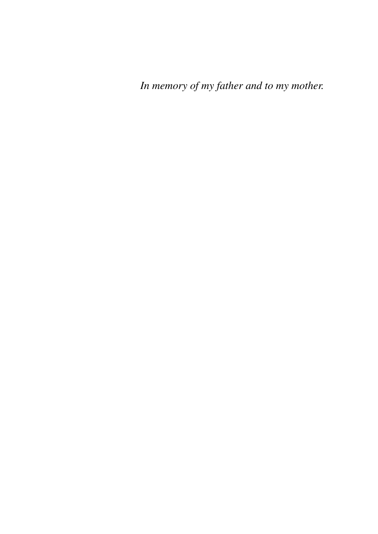*In memory of my father and to my mother.*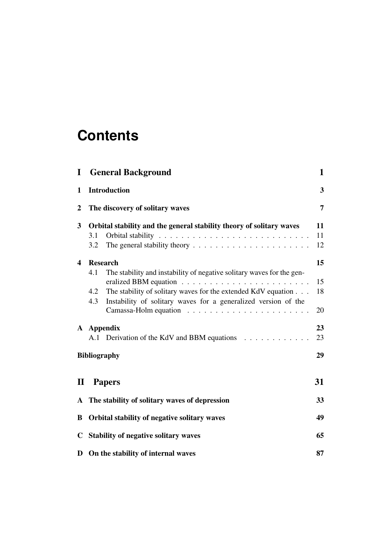# **Contents**

| $\bf{I}$                |                                                                      | <b>General Background</b>                                             | 1                       |
|-------------------------|----------------------------------------------------------------------|-----------------------------------------------------------------------|-------------------------|
| $\mathbf{1}$            |                                                                      | <b>Introduction</b>                                                   | $\overline{\mathbf{3}}$ |
| $\boldsymbol{2}$        |                                                                      | The discovery of solitary waves                                       | 7                       |
| $\overline{\mathbf{3}}$ | Orbital stability and the general stability theory of solitary waves |                                                                       |                         |
|                         | 3.1                                                                  |                                                                       | 11                      |
|                         | 3.2                                                                  |                                                                       | 12                      |
| $\overline{\mathbf{4}}$ | <b>Research</b>                                                      |                                                                       |                         |
|                         | 4.1                                                                  | The stability and instability of negative solitary waves for the gen- | 15                      |
|                         | 4.2                                                                  | The stability of solitary waves for the extended KdV equation         | 18                      |
|                         | 4.3                                                                  | Instability of solitary waves for a generalized version of the        |                         |
|                         |                                                                      |                                                                       | 20                      |
|                         | A Appendix                                                           |                                                                       |                         |
|                         |                                                                      | A.1 Derivation of the KdV and BBM equations                           | 23                      |
|                         |                                                                      | <b>Bibliography</b>                                                   | 29                      |
| $\mathbf{I}$            |                                                                      | <b>Papers</b>                                                         | 31                      |
| $\mathbf{A}$            |                                                                      | The stability of solitary waves of depression                         | 33                      |
| B                       | Orbital stability of negative solitary waves                         |                                                                       |                         |
| $\mathbf C$             | <b>Stability of negative solitary waves</b>                          |                                                                       |                         |
| D                       | On the stability of internal waves                                   |                                                                       |                         |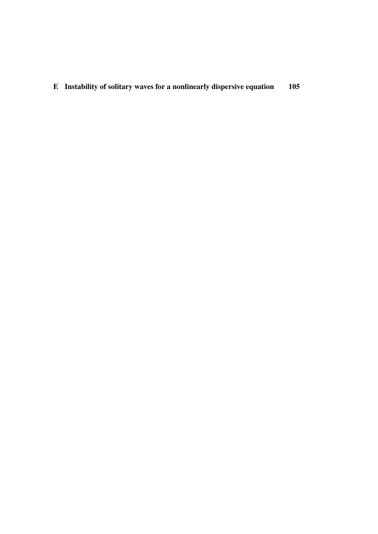E Instability of solitary waves for a nonlinearly dispersive equation 105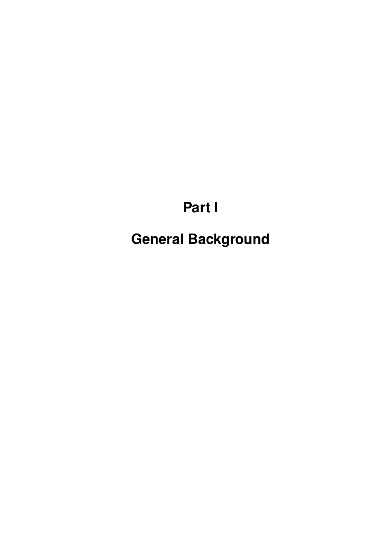# **Part I**

**General Background**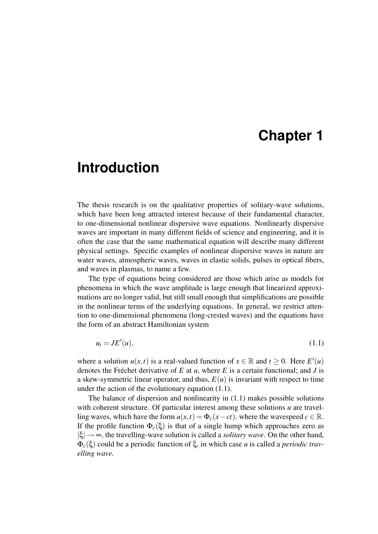# **Chapter 1**

# **Introduction**

The thesis research is on the qualitative properties of solitary-wave solutions, which have been long attracted interest because of their fundamental character, to one-dimensional nonlinear dispersive wave equations. Nonlinearly dispersive waves are important in many different fields of science and engineering, and it is often the case that the same mathematical equation will describe many different physical settings. Specific examples of nonlinear dispersive waves in nature are water waves, atmospheric waves, waves in elastic solids, pulses in optical fibers, and waves in plasmas, to name a few.

The type of equations being considered are those which arise as models for phenomena in which the wave amplitude is large enough that linearized approximations are no longer valid, but still small enough that simplifications are possible in the nonlinear terms of the underlying equations. In general, we restrict attention to one-dimensional phenomena (long-crested waves) and the equations have the form of an abstract Hamiltonian system

$$
u_t = JE'(u),\tag{1.1}
$$

where a solution  $u(x,t)$  is a real-valued function of  $x \in \mathbb{R}$  and  $t \ge 0$ . Here  $E'(u)$ denotes the Fréchet derivative of  $E$  at  $u$ , where  $E$  is a certain functional; and  $J$  is a skew-symmetric linear operator, and thus,  $E(u)$  is invariant with respect to time under the action of the evolutionary equation (1.1).

The balance of dispersion and nonlinearity in (1.1) makes possible solutions with coherent structure. Of particular interest among these solutions *u* are travelling waves, which have the form  $u(x,t) = \Phi_c(x-ct)$ , where the wavespeed  $c \in \mathbb{R}$ . If the profile function Φ*c*(ξ) is that of a single hump which approaches zero as  $|\xi| \rightarrow \infty$ , the travelling-wave solution is called a *solitary wave*. On the other hand, Φ*c*(ξ) could be a periodic function of ξ, in which case *u* is called a *periodic travelling wave.*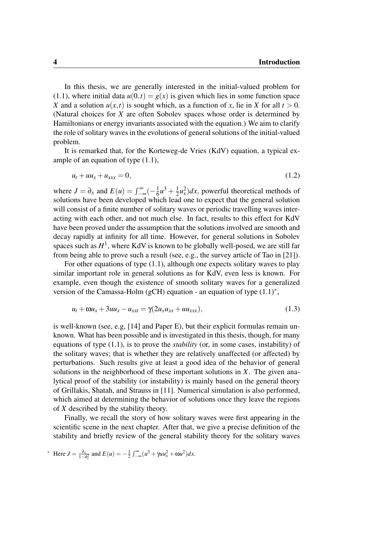In this thesis, we are generally interested in the initial-valued problem for (1.1), where initial data  $u(0,t) = g(x)$  is given which lies in some function space *X* and a solution  $u(x,t)$  is sought which, as a function of *x*, lie in *X* for all  $t > 0$ . (Natural choices for *X* are often Sobolev spaces whose order is determined by Hamiltonians or energy invariants associated with the equation.) We aim to clarify the role of solitary waves in the evolutions of general solutions of the initial-valued problem.

It is remarked that, for the Korteweg-de Vries (KdV) equation, a typical example of an equation of type (1.1),

$$
u_t + u u_x + u_{xxx} = 0, \t\t(1.2)
$$

where  $J = \partial_x$  and  $E(u) = \int_{-\infty}^{\infty} \left( -\frac{1}{6} \right)$  $\frac{1}{6}u^3 + \frac{1}{2}$  $\frac{1}{2}u_x^2$ )*dx*, powerful theoretical methods of solutions have been developed which lead one to expect that the general solution will consist of a finite number of solitary waves or periodic travelling waves interacting with each other, and not much else. In fact, results to this effect for KdV have been proved under the assumption that the solutions involved are smooth and decay rapidly at infinity for all time. However, for general solutions in Sobolev spaces such as  $H^1$ , where KdV is known to be globally well-posed, we are still far from being able to prove such a result (see, e.g., the survey article of Tao in [21]).

For other equations of type (1.1), although one expects solitary waves to play similar important role in general solutions as for KdV, even less is known. For example, even though the existence of smooth solitary waves for a generalized version of the Camassa-Holm (gCH) equation - an equation of type (1.1)<sup>\*</sup>,

$$
u_t + \omega u_x + 3uu_x - u_{xxt} = \gamma(2u_x u_{xx} + uu_{xxx}),
$$
\n(1.3)

is well-known (see, e.g,  $[14]$  and Paper E), but their explicit formulas remain unknown. What has been possible and is investigated in this thesis, though, for many equations of type (1.1), is to prove the *stability* (or, in some cases, instability) of the solitary waves; that is whether they are relatively unaffected (or affected) by perturbations. Such results give at least a good idea of the behavior of general solutions in the neighborhood of these important solutions in *X*. The given analytical proof of the stability (or instability) is mainly based on the general theory of Grillakis, Shatah, and Strauss in [11]. Numerical simulation is also performed, which aimed at determining the behavior of solutions once they leave the regions of *X* described by the stability theory.

Finally, we recall the story of how solitary waves were first appearing in the scientific scene in the next chapter. After that, we give a precise definition of the stability and briefly review of the general stability theory for the solitary waves

$$
\text{Here } J = \frac{\partial_x}{1 - \partial_x^2} \text{ and } E(u) = -\frac{1}{2} \int_{-\infty}^{\infty} (u^3 + \gamma u u_x^2 + \omega u^2) dx.
$$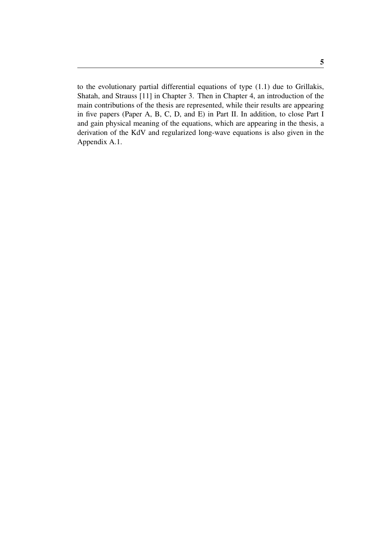to the evolutionary partial differential equations of type (1.1) due to Grillakis, Shatah, and Strauss [11] in Chapter 3. Then in Chapter 4, an introduction of the main contributions of the thesis are represented, while their results are appearing in five papers (Paper A, B, C, D, and E) in Part II. In addition, to close Part I and gain physical meaning of the equations, which are appearing in the thesis, a derivation of the KdV and regularized long-wave equations is also given in the Appendix A.1.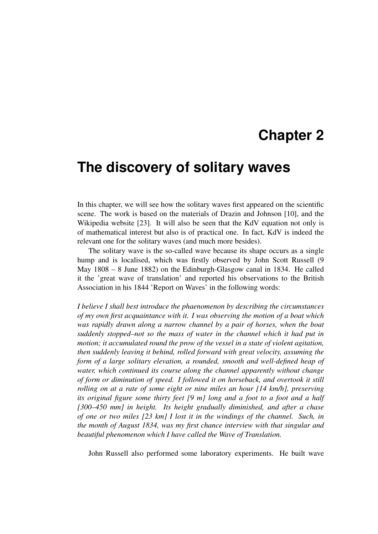# **Chapter 2**

### **The discovery of solitary waves**

In this chapter, we will see how the solitary waves first appeared on the scientific scene. The work is based on the materials of Drazin and Johnson [10], and the Wikipedia website [23]. It will also be seen that the KdV equation not only is of mathematical interest but also is of practical one. In fact, KdV is indeed the relevant one for the solitary waves (and much more besides).

The solitary wave is the so-called wave because its shape occurs as a single hump and is localised, which was firstly observed by John Scott Russell (9 May 1808 – 8 June 1882) on the Edinburgh-Glasgow canal in 1834. He called it the 'great wave of translation' and reported his observations to the British Association in his 1844 'Report on Waves' in the following words:

*I believe I shall best introduce the phaenomenon by describing the circumstances of my own first acquaintance with it. I was observing the motion of a boat which was rapidly drawn along a narrow channel by a pair of horses, when the boat suddenly stopped–not so the mass of water in the channel which it had put in motion; it accumulated round the prow of the vessel in a state of violent agitation, then suddenly leaving it behind, rolled forward with great velocity, assuming the form of a large solitary elevation, a rounded, smooth and well-defined heap of water, which continued its course along the channel apparently without change of form or diminution of speed. I followed it on horseback, and overtook it still rolling on at a rate of some eight or nine miles an hour [14 km/h], preserving its original figure some thirty feet [9 m] long and a foot to a foot and a half [300–450 mm] in height. Its height gradually diminished, and after a chase of one or two miles [23 km] I lost it in the windings of the channel. Such, in the month of August 1834, was my first chance interview with that singular and beautiful phenomenon which I have called the Wave of Translation.*

John Russell also performed some laboratory experiments. He built wave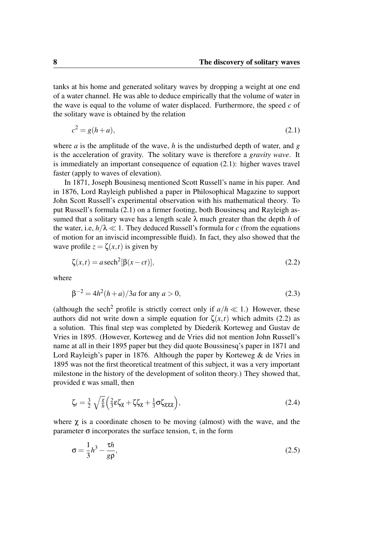tanks at his home and generated solitary waves by dropping a weight at one end of a water channel. He was able to deduce empirically that the volume of water in the wave is equal to the volume of water displaced. Furthermore, the speed *c* of the solitary wave is obtained by the relation

$$
c^2 = g(h+a),\tag{2.1}
$$

where *a* is the amplitude of the wave, *h* is the undisturbed depth of water, and *g* is the acceleration of gravity. The solitary wave is therefore a *gravity wave*. It is immediately an important consequence of equation (2.1): higher waves travel faster (apply to waves of elevation).

In 1871, Joseph Bousinesq mentioned Scott Russell's name in his paper. And in 1876, Lord Rayleigh published a paper in Philosophical Magazine to support John Scott Russell's experimental observation with his mathematical theory. To put Russell's formula (2.1) on a firmer footing, both Bousinesq and Rayleigh assumed that a solitary wave has a length scale  $\lambda$  much greater than the depth *h* of the water, i.e,  $h/\lambda \ll 1$ . They deduced Russell's formula for *c* (from the equations of motion for an inviscid incompressible fluid). In fact, they also showed that the wave profile  $z = \zeta(x,t)$  is given by

$$
\zeta(x,t) = a \operatorname{sech}^2[\beta(x-ct)],\tag{2.2}
$$

where

$$
\beta^{-2} = 4h^2(h+a)/3a \text{ for any } a > 0,
$$
\n(2.3)

(although the sech<sup>2</sup> profile is strictly correct only if  $a/h \ll 1$ .) However, these authors did not write down a simple equation for  $\zeta(x,t)$  which admits (2.2) as a solution. This final step was completed by Diederik Korteweg and Gustav de Vries in 1895. (However, Korteweg and de Vries did not mention John Russell's name at all in their 1895 paper but they did quote Boussinesq's paper in 1871 and Lord Rayleigh's paper in 1876. Although the paper by Korteweg & de Vries in 1895 was not the first theoretical treatment of this subject, it was a very important milestone in the history of the development of soliton theory.) They showed that, provided ε was small, then

$$
\zeta_t = \frac{3}{2} \sqrt{\frac{g}{h}} \left( \frac{2}{3} \varepsilon \zeta_\chi + \zeta \zeta_\chi + \frac{1}{3} \sigma \zeta_{\chi \chi \chi} \right),\tag{2.4}
$$

where  $\chi$  is a coordinate chosen to be moving (almost) with the wave, and the parameter σ incorporates the surface tension, τ, in the form

$$
\sigma = \frac{1}{3}h^3 - \frac{\tau h}{g\rho},\tag{2.5}
$$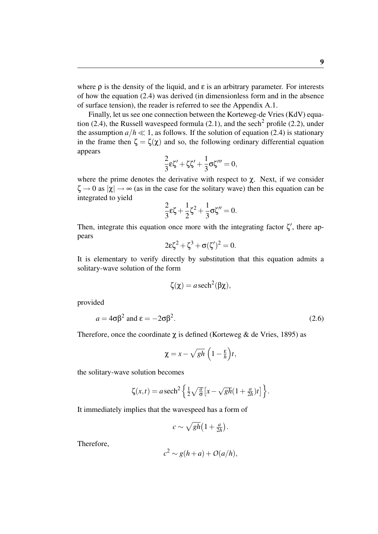where  $\rho$  is the density of the liquid, and  $\varepsilon$  is an arbitrary parameter. For interests of how the equation (2.4) was derived (in dimensionless form and in the absence of surface tension), the reader is referred to see the Appendix A.1.

Finally, let us see one connection between the Korteweg-de Vries (KdV) equation  $(2.4)$ , the Russell wavespeed formula  $(2.1)$ , and the sech<sup>2</sup> profile  $(2.2)$ , under the assumption  $a/h \ll 1$ , as follows. If the solution of equation (2.4) is stationary in the frame then  $\zeta = \zeta(\chi)$  and so, the following ordinary differential equation appears

$$
\frac{2}{3}\epsilon\zeta'+\zeta\zeta'+\frac{1}{3}\sigma\zeta'''=0,
$$

where the prime denotes the derivative with respect to  $\chi$ . Next, if we consider  $\zeta \to 0$  as  $|\chi| \to \infty$  (as in the case for the solitary wave) then this equation can be integrated to yield

$$
\frac{2}{3}\varepsilon\zeta + \frac{1}{2}\zeta^2 + \frac{1}{3}\sigma\zeta'' = 0.
$$

Then, integrate this equation once more with the integrating factor  $\zeta'$ , there appears

$$
2\epsilon\zeta^2 + \zeta^3 + \sigma(\zeta')^2 = 0.
$$

It is elementary to verify directly by substitution that this equation admits a solitary-wave solution of the form

$$
\zeta(\chi) = a \operatorname{sech}^2(\beta \chi),
$$

provided

$$
a = 4\sigma\beta^2 \text{ and } \varepsilon = -2\sigma\beta^2. \tag{2.6}
$$

Therefore, once the coordinate  $\chi$  is defined (Korteweg & de Vries, 1895) as

$$
\chi = x - \sqrt{gh} \left(1 - \frac{\varepsilon}{h}\right) t,
$$

the solitary-wave solution becomes

$$
\zeta(x,t) = a \operatorname{sech}^2\left\{\frac{1}{2}\sqrt{\frac{a}{\sigma}}\left[x - \sqrt{gh}(1 + \frac{a}{2h})t\right]\right\}.
$$

It immediately implies that the wavespeed has a form of

$$
c \sim \sqrt{gh}\left(1+\tfrac{a}{2h}\right).
$$

Therefore,

$$
c^2 \sim g(h+a) + O(a/h),
$$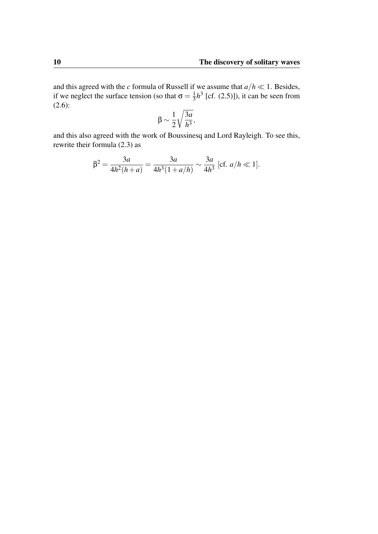and this agreed with the *c* formula of Russell if we assume that  $a/h \ll 1$ . Besides, if we neglect the surface tension (so that  $\sigma = \frac{1}{3}$  $\frac{1}{3}h^3$  [cf. (2.5)]), it can be seen from  $(2.6):$ 

$$
\beta \sim \frac{1}{2} \sqrt{\frac{3a}{h^3}},
$$

and this also agreed with the work of Boussinesq and Lord Rayleigh. To see this, rewrite their formula (2.3) as

$$
\beta^2 = \frac{3a}{4h^2(h+a)} = \frac{3a}{4h^3(1+a/h)} \sim \frac{3a}{4h^3} \text{ [cf. } a/h \ll 1].
$$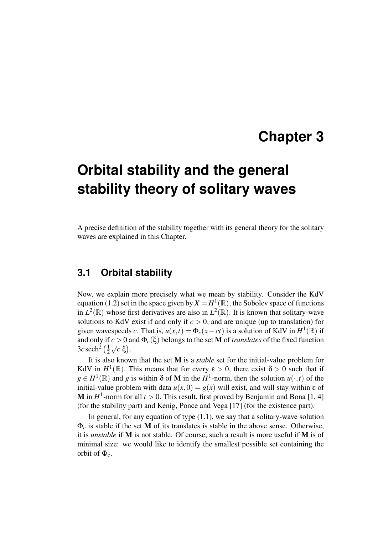# **Chapter 3**

# **Orbital stability and the general stability theory of solitary waves**

A precise definition of the stability together with its general theory for the solitary waves are explained in this Chapter.

### **3.1 Orbital stability**

Now, we explain more precisely what we mean by stability. Consider the KdV equation (1.2) set in the space given by  $X = H^1(\mathbb{R})$ , the Sobolev space of functions in  $L^2(\mathbb{R})$  whose first derivatives are also in  $L^2(\mathbb{R})$ . It is known that solitary-wave solutions to KdV exist if and only if  $c > 0$ , and are unique (up to translation) for given wavespeeds *c*. That is,  $u(x,t) = \Phi_c(x-ct)$  is a solution of KdV in  $H^1(\mathbb{R})$  if and only if  $c > 0$  and  $\Phi_c(\xi)$  belongs to the set **M** of *translates* of the fixed function  $3c$  sech<sup>2</sup>  $\left(\frac{1}{2}\right)$ 2  $\frac{c}{\sqrt{2}}$  $\overline{c}$  ξ).

It is also known that the set M is a *stable* set for the initial-value problem for KdV in  $H^1(\mathbb{R})$ . This means that for every  $\varepsilon > 0$ , there exist  $\delta > 0$  such that if  $g \in H^1(\mathbb{R})$  and *g* is within  $\delta$  of **M** in the *H*<sup>1</sup>-norm, then the solution  $u(\cdot,t)$  of the initial-value problem with data  $u(x,0) = g(x)$  will exist, and will stay within  $\varepsilon$  of **M** in  $H^1$ -norm for all  $t > 0$ . This result, first proved by Benjamin and Bona [1, 4] (for the stability part) and Kenig, Ponce and Vega [17] (for the existence part).

In general, for any equation of type  $(1.1)$ , we say that a solitary-wave solution  $\Phi_c$  is stable if the set M of its translates is stable in the above sense. Otherwise, it is *unstable* if M is not stable. Of course, such a result is more useful if M is of minimal size: we would like to identify the smallest possible set containing the orbit of  $\Phi_c$ .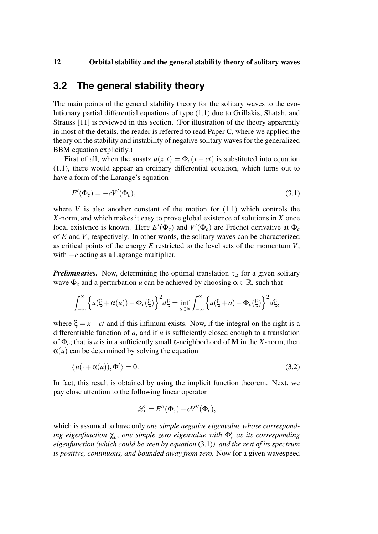### **3.2 The general stability theory**

The main points of the general stability theory for the solitary waves to the evolutionary partial differential equations of type (1.1) due to Grillakis, Shatah, and Strauss [11] is reviewed in this section. (For illustration of the theory apparently in most of the details, the reader is referred to read Paper C, where we applied the theory on the stability and instability of negative solitary waves for the generalized BBM equation explicitly.)

First of all, when the ansatz  $u(x,t) = \Phi_c(x-ct)$  is substituted into equation (1.1), there would appear an ordinary differential equation, which turns out to have a form of the Larange's equation

$$
E'(\Phi_c) = -cV'(\Phi_c),\tag{3.1}
$$

where  $V$  is also another constant of the motion for  $(1.1)$  which controls the *X*-norm, and which makes it easy to prove global existence of solutions in *X* once local existence is known. Here  $E'(\Phi_c)$  and  $V'(\Phi_c)$  are Fréchet derivative at  $\Phi_c$ of *E* and *V*, respectively. In other words, the solitary waves can be characterized as critical points of the energy *E* restricted to the level sets of the momentum *V*, with −*c* acting as a Lagrange multiplier.

*Preliminaries.* Now, determining the optimal translation  $\tau_{\alpha}$  for a given solitary wave  $\Phi_c$  and a perturbation *u* can be achieved by choosing  $\alpha \in \mathbb{R}$ , such that

$$
\int_{-\infty}^{\infty} \left\{ u(\xi + \alpha(u)) - \Phi_c(\xi) \right\}^2 d\xi = \inf_{a \in \mathbb{R}} \int_{-\infty}^{\infty} \left\{ u(\xi + a) - \Phi_c(\xi) \right\}^2 d\xi,
$$

where  $\xi = x - ct$  and if this infimum exists. Now, if the integral on the right is a differentiable function of *a*, and if *u* is sufficiently closed enough to a translation of  $\Phi_c$ ; that is *u* is in a sufficiently small  $\varepsilon$ -neighborhood of **M** in the *X*-norm, then  $\alpha(u)$  can be determined by solving the equation

$$
\langle u(\cdot + \alpha(u)), \Phi' \rangle = 0. \tag{3.2}
$$

In fact, this result is obtained by using the implicit function theorem. Next, we pay close attention to the following linear operator

$$
\mathcal{L}_c = E''(\Phi_c) + cV''(\Phi_c),
$$

which is assumed to have only *one simple negative eigenvalue whose correspond* $i$ *ng eigenfunction*  $\chi_c$ , *one simple zero eigenvalue with*  $\Phi'_c$  *as its corresponding eigenfunction (which could be seen by equation* (3.1)*), and the rest of its spectrum is positive, continuous, and bounded away from zero.* Now for a given wavespeed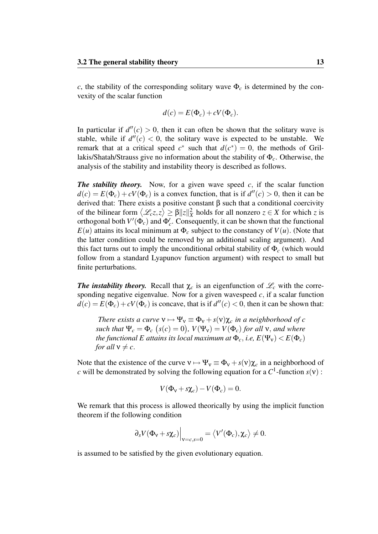*c*, the stability of the corresponding solitary wave  $\Phi_c$  is determined by the convexity of the scalar function

$$
d(c) = E(\Phi_c) + cV(\Phi_c).
$$

In particular if  $d''(c) > 0$ , then it can often be shown that the solitary wave is stable, while if  $d''(c) < 0$ , the solitary wave is expected to be unstable. We remark that at a critical speed  $c^*$  such that  $d(c^*) = 0$ , the methods of Grillakis/Shatah/Strauss give no information about the stability of Φ*c*. Otherwise, the analysis of the stability and instability theory is described as follows.

**The stability theory.** Now, for a given wave speed  $c$ , if the scalar function  $d(c) = E(\Phi_c) + cV(\Phi_c)$  is a convex function, that is if  $d''(c) > 0$ , then it can be derived that: There exists a positive constant β such that a conditional coercivity of the bilinear form  $\langle \mathcal{L}_c z, z \rangle \ge \beta ||z||_X^2$  holds for all nonzero  $z \in X$  for which *z* is orthogonal both  $V'(\Phi_c)$  and  $\Phi_c'$ . Consequently, it can be shown that the functional  $E(u)$  attains its local minimum at  $\Phi_c$  subject to the constancy of  $V(u)$ . (Note that the latter condition could be removed by an additional scaling argument). And this fact turns out to imply the unconditional orbital stability of Φ*<sup>c</sup>* (which would follow from a standard Lyapunov function argument) with respect to small but finite perturbations.

*The instability theory.* Recall that  $\chi_c$  is an eigenfunction of  $\mathcal{L}_c$  with the corresponding negative eigenvalue. Now for a given wavespeed  $c$ , if a scalar function  $d(c) = E(\Phi_c) + cV(\Phi_c)$  is concave, that is if  $d''(c) < 0$ , then it can be shown that:

*There exists a curve*  $v \mapsto \Psi_v \equiv \Phi_v + s(v)\chi_c$  *in a neighborhood of c such that*  $\Psi_c = \Phi_c$   $(s(c) = 0)$ ,  $V(\Psi_v) = V(\Phi_c)$  for all v, and where *the functional E attains its local maximum at*  $\Phi_c$ , *i.e,*  $E(\Psi_v) < E(\Phi_c)$ *for all*  $v \neq c$ .

Note that the existence of the curve  $v \mapsto \Psi_v \equiv \Phi_v + s(v)\chi_c$  in a neighborhood of *c* will be demonstrated by solving the following equation for a  $C^1$ -function  $s(v)$ :

$$
V(\Phi_{v} + s\chi_{c}) - V(\Phi_{c}) = 0.
$$

We remark that this process is allowed theorically by using the implicit function theorem if the following condition

$$
\left. \partial_s V(\Phi_{\mathbf{v}} + s \chi_c) \right|_{\mathbf{v} = c,s=0} = \left\langle V'(\Phi_c), \chi_c \right\rangle \neq 0.
$$

is assumed to be satisfied by the given evolutionary equation.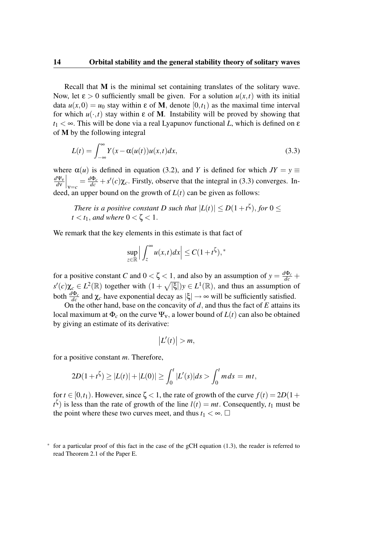Recall that M is the minimal set containing translates of the solitary wave. Now, let  $\varepsilon > 0$  sufficiently small be given. For a solution  $u(x,t)$  with its initial data  $u(x,0) = u_0$  stay within  $\varepsilon$  of M, denote  $[0,t_1)$  as the maximal time interval for which  $u(\cdot,t)$  stay within  $\varepsilon$  of M. Instability will be proved by showing that  $t_1 < \infty$ . This will be done via a real Lyapunov functional *L*, which is defined on  $\varepsilon$ of M by the following integral

$$
L(t) = \int_{-\infty}^{\infty} Y(x - \alpha(u(t))u(x,t)dx,
$$
\n(3.3)

where  $\alpha(u)$  is defined in equation (3.2), and *Y* is defined for which  $JY = y \equiv$ *d*Ψ<sup>ν</sup> *d*ν  $\int_{\mathbf{v}=c} = \frac{d\Phi_c}{dc} + s'(c)\chi_c$ . Firstly, observe that the integral in (3.3) converges. Indeed, an upper bound on the growth of  $L(t)$  can be given as follows:

*There is a positive constant D such that*  $|L(t)| \le D(1+t^{\zeta})$ , for  $0 \le$  $t < t_1$ *, and where*  $0 < \zeta < 1$ *.* 

We remark that the key elements in this estimate is that fact of

$$
\sup_{z \in \mathbb{R}} \left| \int_{z}^{\infty} u(x, t) dx \right| \leq C(1 + t^{\zeta}),^*
$$

for a positive constant *C* and  $0 < \zeta < 1$ , and also by an assumption of  $y = \frac{d\Phi_c}{dc} +$  $s'(c)\chi_c \in L^2(\mathbb{R})$  together with  $(1+\sqrt{|\xi|})y \in L^1(\mathbb{R})$ , and thus an assumption of both  $\frac{d\Phi_c}{dc}$  and  $\chi_c$  have exponential decay as  $|\xi| \to \infty$  will be sufficiently satisfied.

On the other hand, base on the concavity of *d*, and thus the fact of *E* attains its local maximum at  $\Phi_c$  on the curve  $\Psi_v$ , a lower bound of  $L(t)$  can also be obtained by giving an estimate of its derivative:

$$
\big|L'(t)\big|>m,
$$

for a positive constant *m*. Therefore,

$$
2D(1+t^{\zeta}) \ge |L(t)|+|L(0)| \ge \int_0^t |L'(s)|ds > \int_0^t m ds = mt,
$$

for  $t \in [0, t_1)$ . However, since  $\zeta < 1$ , the rate of growth of the curve  $f(t) = 2D(1+t_1)$  $t^{\zeta}$ ) is less than the rate of growth of the line  $l(t) = mt$ . Consequently,  $t_1$  must be the point where these two curves meet, and thus  $t_1 < \infty$ .  $\Box$ 

<sup>∗</sup> for a particular proof of this fact in the case of the gCH equation (1.3), the reader is referred to read Theorem 2.1 of the Paper E.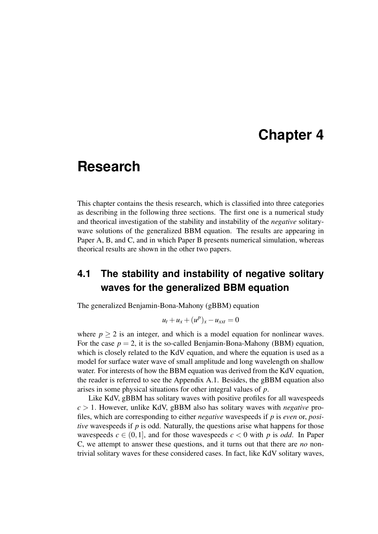# **Chapter 4**

### **Research**

This chapter contains the thesis research, which is classified into three categories as describing in the following three sections. The first one is a numerical study and theorical investigation of the stability and instability of the *negative* solitarywave solutions of the generalized BBM equation. The results are appearing in Paper A, B, and C, and in which Paper B presents numerical simulation, whereas theorical results are shown in the other two papers.

### **4.1 The stability and instability of negative solitary waves for the generalized BBM equation**

The generalized Benjamin-Bona-Mahony (gBBM) equation

$$
u_t + u_x + (u^p)_x - u_{xxt} = 0
$$

where  $p > 2$  is an integer, and which is a model equation for nonlinear waves. For the case  $p = 2$ , it is the so-called Benjamin-Bona-Mahony (BBM) equation, which is closely related to the KdV equation, and where the equation is used as a model for surface water wave of small amplitude and long wavelength on shallow water. For interests of how the BBM equation was derived from the KdV equation, the reader is referred to see the Appendix A.1. Besides, the gBBM equation also arises in some physical situations for other integral values of *p*.

Like KdV, gBBM has solitary waves with positive profiles for all wavespeeds *c* > 1. However, unlike KdV, gBBM also has solitary waves with *negative* profiles, which are corresponding to either *negative* wavespeeds if *p* is *even* or, *positive* wavespeeds if *p* is odd. Naturally, the questions arise what happens for those wavespeeds  $c \in (0,1]$ , and for those wavespeeds  $c < 0$  with p is odd. In Paper C, we attempt to answer these questions, and it turns out that there are *no* nontrivial solitary waves for these considered cases. In fact, like KdV solitary waves,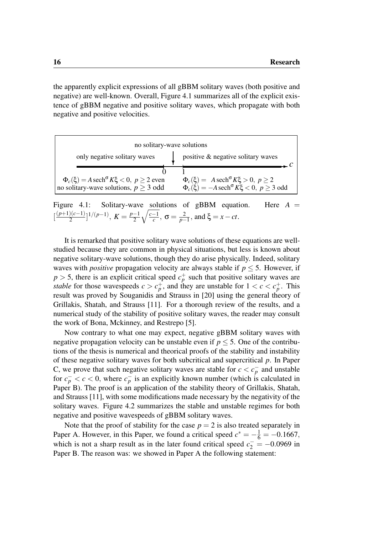the apparently explicit expressions of all gBBM solitary waves (both positive and negative) are well-known. Overall, Figure 4.1 summarizes all of the explicit existence of gBBM negative and positive solitary waves, which propagate with both negative and positive velocities.

| no solitary-wave solutions                                                                                           |                                                                                                                                          |  |  |  |  |  |
|----------------------------------------------------------------------------------------------------------------------|------------------------------------------------------------------------------------------------------------------------------------------|--|--|--|--|--|
| only negative solitary waves                                                                                         | positive & negative solitary waves                                                                                                       |  |  |  |  |  |
|                                                                                                                      |                                                                                                                                          |  |  |  |  |  |
| $\Phi_c(\xi) = A \operatorname{sech}^{\sigma} K \xi < 0, p \ge 2$ even<br>no solitary-wave solutions, $p \geq 3$ odd | $\Phi_c(\xi) = A \operatorname{sech}^{\sigma} K\xi > 0, p \ge 2$<br>$\Phi_c(\xi) = -A \operatorname{sech}^\sigma K \xi < 0, p \ge 3$ odd |  |  |  |  |  |
| Solitary-wave solutions of gBBM equation.<br>Figure $4.1$ :                                                          | Here                                                                                                                                     |  |  |  |  |  |

 $\left[\frac{(p+1)(c-1)}{2}\right]$  $\frac{D(c-1)}{2}$ <sup>1</sup>/(*p*−1), *K* =  $\frac{p-1}{2}$ 2  $\sqrt{c-1}$  $\frac{-1}{c}$ , σ =  $\frac{2}{p-}$  $\frac{2}{p-1}$ , and ξ = *x* − *ct*.

It is remarked that positive solitary wave solutions of these equations are wellstudied because they are common in physical situations, but less is known about negative solitary-wave solutions, though they do arise physically. Indeed, solitary waves with *positive* propagation velocity are always stable if  $p \leq 5$ . However, if  $p > 5$ , there is an explicit critical speed  $c_p^+$  such that positive solitary waves are *stable* for those wavespeeds  $c > c_p^+$ , and they are unstable for  $1 < c < c_p^+$ . This result was proved by Souganidis and Strauss in [20] using the general theory of Grillakis, Shatah, and Strauss [11]. For a thorough review of the results, and a numerical study of the stability of positive solitary waves, the reader may consult the work of Bona, Mckinney, and Restrepo [5].

Now contrary to what one may expect, negative gBBM solitary waves with negative propagation velocity can be unstable even if  $p \leq 5$ . One of the contributions of the thesis is numerical and theorical proofs of the stability and instability of these negative solitary waves for both subcritical and supercritical *p*. In Paper C, we prove that such negative solitary waves are stable for  $c < c_p^-$  and unstable for  $c_p^- < c < 0$ , where  $c_p^-$  is an explicitly known number (which is calculated in Paper B). The proof is an application of the stability theory of Grillakis, Shatah, and Strauss [11], with some modifications made necessary by the negativity of the solitary waves. Figure 4.2 summarizes the stable and unstable regimes for both negative and positive wavespeeds of gBBM solitary waves.

Note that the proof of stability for the case  $p = 2$  is also treated separately in Paper A. However, in this Paper, we found a critical speed  $c^* = -\frac{1}{6} = -0.1667$ , which is not a sharp result as in the later found critical speed  $c_2^- = -0.0969$  in Paper B. The reason was: we showed in Paper A the following statement: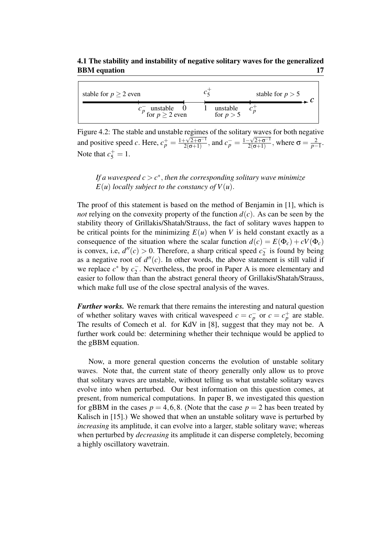#### 4.1 The stability and instability of negative solitary waves for the generalized BBM equation 17

| stable for $p \geq 2$ even                     |                         | stable for $p > 5$ |
|------------------------------------------------|-------------------------|--------------------|
| $\frac{1}{2}$ unstable 0<br>for $p \ge 2$ even | unstable<br>for $p > 5$ |                    |

Figure 4.2: The stable and unstable regimes of the solitary waves for both negative and positive speed *c*. Here,  $c_p^+ = \frac{1 + \sqrt{2 + \sigma^{-1}}}{2(\sigma + 1)}$  $\frac{1}{2(\sigma+1)}$ , and  $c_p^- = \frac{1-\sqrt{2+\sigma^{-1}}}{2(\sigma+1)}$  $\frac{-\sqrt{2+\sigma^{-1}}}{2(\sigma+1)}$ , where  $\sigma = \frac{2}{p-1}$  $rac{2}{p-1}$ . Note that  $c_5^+ = 1$ .

*If a wavespeed*  $c > c^*$ *, then the corresponding solitary wave minimize*  $E(u)$  *locally subject to the constancy of*  $V(u)$ *.* 

The proof of this statement is based on the method of Benjamin in [1], which is *not* relying on the convexity property of the function  $d(c)$ . As can be seen by the stability theory of Grillakis/Shatah/Strauss, the fact of solitary waves happen to be critical points for the minimizing  $E(u)$  when *V* is held constant exactly as a consequence of the situation where the scalar function  $d(c) = E(\Phi_c) + cV(\Phi_c)$ is convex, i.e,  $d''(c) > 0$ . Therefore, a sharp critical speed  $c_2^ \overline{2}$  is found by being as a negative root of  $d''(c)$ . In other words, the above statement is still valid if we replace  $c^*$  by  $c_2^ 2<sub>2</sub>$ . Nevertheless, the proof in Paper A is more elementary and easier to follow than than the abstract general theory of Grillakis/Shatah/Strauss, which make full use of the close spectral analysis of the waves.

*Further works.* We remark that there remains the interesting and natural question of whether solitary waves with critical wavespeed  $c = c_p^-$  or  $c = c_p^+$  are stable. The results of Comech et al. for KdV in [8], suggest that they may not be. A further work could be: determining whether their technique would be applied to the gBBM equation.

Now, a more general question concerns the evolution of unstable solitary waves. Note that, the current state of theory generally only allow us to prove that solitary waves are unstable, without telling us what unstable solitary waves evolve into when perturbed. Our best information on this question comes, at present, from numerical computations. In paper B, we investigated this question for gBBM in the cases  $p = 4, 6, 8$ . (Note that the case  $p = 2$  has been treated by Kalisch in [15].) We showed that when an unstable solitary wave is perturbed by *increasing* its amplitude, it can evolve into a larger, stable solitary wave; whereas when perturbed by *decreasing* its amplitude it can disperse completely, becoming a highly oscillatory wavetrain.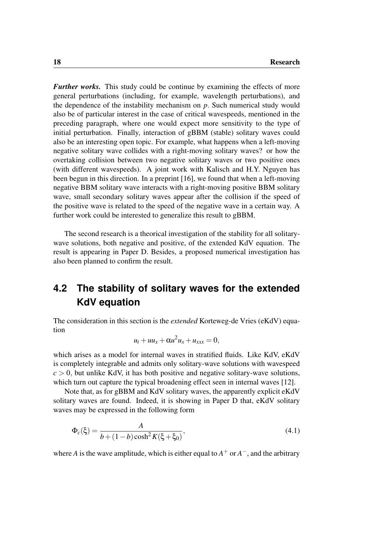*Further works.* This study could be continue by examining the effects of more general perturbations (including, for example, wavelength perturbations), and the dependence of the instability mechanism on *p*. Such numerical study would also be of particular interest in the case of critical wavespeeds, mentioned in the preceding paragraph, where one would expect more sensitivity to the type of initial perturbation. Finally, interaction of gBBM (stable) solitary waves could also be an interesting open topic. For example, what happens when a left-moving negative solitary wave collides with a right-moving solitary waves? or how the overtaking collision between two negative solitary waves or two positive ones (with different wavespeeds). A joint work with Kalisch and H.Y. Nguyen has been begun in this direction. In a preprint [16], we found that when a left-moving negative BBM solitary wave interacts with a right-moving positive BBM solitary wave, small secondary solitary waves appear after the collision if the speed of the positive wave is related to the speed of the negative wave in a certain way. A further work could be interested to generalize this result to gBBM.

The second research is a theorical investigation of the stability for all solitarywave solutions, both negative and positive, of the extended KdV equation. The result is appearing in Paper D. Besides, a proposed numerical investigation has also been planned to confirm the result.

### **4.2 The stability of solitary waves for the extended KdV equation**

The consideration in this section is the *extended* Korteweg-de Vries (eKdV) equation

$$
u_t + uu_x + \alpha u^2 u_x + u_{xxx} = 0,
$$

which arises as a model for internal waves in stratified fluids. Like KdV, eKdV is completely integrable and admits only solitary-wave solutions with wavespeed  $c > 0$ , but unlike KdV, it has both positive and negative solitary-wave solutions, which turn out capture the typical broadening effect seen in internal waves [12].

Note that, as for gBBM and KdV solitary waves, the apparently explicit eKdV solitary waves are found. Indeed, it is showing in Paper D that, eKdV solitary waves may be expressed in the following form

$$
\Phi_c(\xi) = \frac{A}{b + (1 - b)\cosh^2 K(\xi + \xi_0)},\tag{4.1}
$$

where *A* is the wave amplitude, which is either equal to  $A^+$  or  $A^-$ , and the arbitrary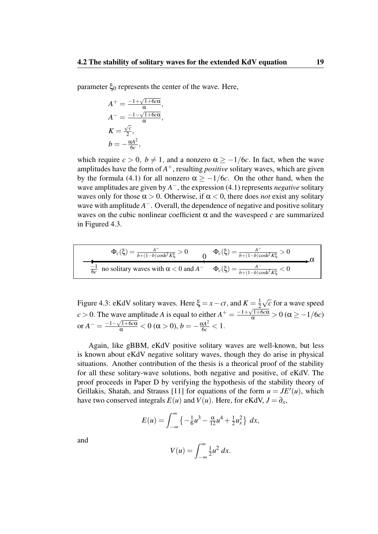parameter  $ξ_0$  represents the center of the wave. Here,

$$
A^{+} = \frac{-1 + \sqrt{1 + 6c\alpha}}{\alpha},
$$
  
\n
$$
A^{-} = \frac{-1 - \sqrt{1 + 6c\alpha}}{\alpha},
$$
  
\n
$$
K = \frac{\sqrt{c}}{2},
$$
  
\n
$$
b = -\frac{\alpha A^{2}}{6c},
$$

which require  $c > 0$ ,  $b \neq 1$ , and a nonzero  $\alpha \geq -1/6c$ . In fact, when the wave amplitudes have the form of *A* <sup>+</sup>, resulting *positive* solitary waves, which are given by the formula (4.1) for all nonzero  $\alpha$  >  $-1/6c$ . On the other hand, when the wave amplitudes are given by *A* <sup>−</sup>, the expression (4.1) represents *negative* solitary waves only for those  $\alpha > 0$ . Otherwise, if  $\alpha < 0$ , there does *not* exist any solitary wave with amplitude *A*<sup>-</sup>. Overall, the dependence of negative and positive solitary waves on the cubic nonlinear coefficient  $\alpha$  and the wavespeed  $c$  are summarized in Figured 4.3.

$$
\Phi_c(\xi) = \frac{A^+}{b + (1 - b)\cosh^2 K\xi} > 0 \qquad 0 \qquad \Phi_c(\xi) = \frac{A^+}{b + (1 - b)\cosh^2 K\xi} > 0
$$
\n
$$
\frac{-1}{6c} \text{ no solitary waves with } \alpha < 0 \text{ and } A^- \qquad \Phi_c(\xi) = \frac{A^-}{b + (1 - b)\cosh^2 K\xi} < 0
$$

Figure 4.3: eKdV solitary waves. Here  $\xi = x - ct$ , and  $K = \frac{1}{2}$ 2 √ *c* for a wave speed *c* > 0. The wave amplitude *A* is equal to either  $A^+ = \frac{-1 + \sqrt{1+6c\alpha}}{\alpha} > 0$  ( $\alpha \ge -1/6c$ ) or  $A^- = \frac{-1-\sqrt{1+6c\alpha}}{\alpha} < 0 \ (\alpha > 0), b = -\frac{\alpha A^2}{6c} < 1.$ 

Again, like gBBM, eKdV positive solitary waves are well-known, but less is known about eKdV negative solitary waves, though they do arise in physical situations. Another contribution of the thesis is a theorical proof of the stability for all these solitary-wave solutions, both negative and positive, of eKdV. The proof proceeds in Paper D by verifying the hypothesis of the stability theory of Grillakis, Shatah, and Strauss [11] for equations of the form  $u = JE'(u)$ , which have two conserved integrals  $E(u)$  and  $V(u)$ . Here, for eKdV,  $J = \partial_x$ ,

$$
E(u) = \int_{-\infty}^{\infty} \left\{ -\frac{1}{6}u^3 - \frac{\alpha}{12}u^4 + \frac{1}{2}u_x^2 \right\} dx,
$$

and

$$
V(u) = \int_{-\infty}^{\infty} \frac{1}{2}u^2 dx.
$$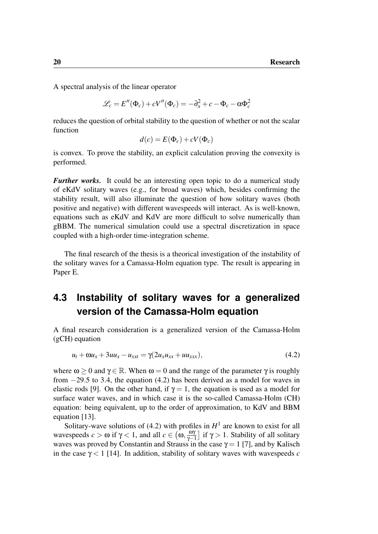A spectral analysis of the linear operator

$$
\mathcal{L}_c = E''(\Phi_c) + cV''(\Phi_c) = -\partial_x^2 + c - \Phi_c - \alpha \Phi_c^2
$$

reduces the question of orbital stability to the question of whether or not the scalar function

$$
d(c) = E(\Phi_c) + cV(\Phi_c)
$$

is convex. To prove the stability, an explicit calculation proving the convexity is performed.

*Further works.* It could be an interesting open topic to do a numerical study of eKdV solitary waves (e.g., for broad waves) which, besides confirming the stability result, will also illuminate the question of how solitary waves (both positive and negative) with different wavespeeds will interact. As is well-known, equations such as eKdV and KdV are more difficult to solve numerically than gBBM. The numerical simulation could use a spectral discretization in space coupled with a high-order time-integration scheme.

The final research of the thesis is a theorical investigation of the instability of the solitary waves for a Camassa-Holm equation type. The result is appearing in Paper E.

### **4.3 Instability of solitary waves for a generalized version of the Camassa-Holm equation**

A final research consideration is a generalized version of the Camassa-Holm (gCH) equation

$$
u_t + \omega u_x + 3uu_x - u_{xxt} = \gamma(2u_x u_{xx} + uu_{xxx}),
$$
\n(4.2)

where  $\omega > 0$  and  $\gamma \in \mathbb{R}$ . When  $\omega = 0$  and the range of the parameter  $\gamma$  is roughly from −29.5 to 3.4, the equation (4.2) has been derived as a model for waves in elastic rods [9]. On the other hand, if  $\gamma = 1$ , the equation is used as a model for surface water waves, and in which case it is the so-called Camassa-Holm (CH) equation: being equivalent, up to the order of approximation, to KdV and BBM equation [13].

Solitary-wave solutions of (4.2) with profiles in  $H^1$  are known to exist for all wavespeeds  $c > \omega$  if  $\gamma < 1$ , and all  $c \in (\omega, \frac{\omega}{\gamma - 1})$  $\frac{\omega \gamma}{\gamma - 1}$  if  $\gamma > 1$ . Stability of all solitary waves was proved by Constantin and Strauss in the case  $\gamma = 1$  [7], and by Kalisch in the case  $\gamma$  < 1 [14]. In addition, stability of solitary waves with wavespeeds *c*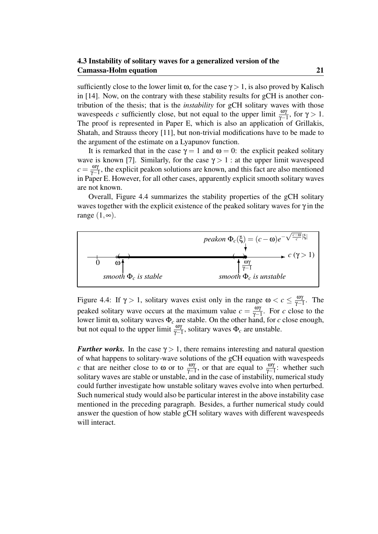sufficiently close to the lower limit  $\omega$ , for the case  $\gamma > 1$ , is also proved by Kalisch in [14]. Now, on the contrary with these stability results for gCH is another contribution of the thesis; that is the *instability* for gCH solitary waves with those wavespeeds *c* sufficiently close, but not equal to the upper limit  $\frac{\omega \gamma}{\gamma - 1}$ , for  $\gamma > 1$ . The proof is represented in Paper E, which is also an application of Grillakis, Shatah, and Strauss theory [11], but non-trivial modifications have to be made to the argument of the estimate on a Lyapunov function.

It is remarked that in the case  $\gamma = 1$  and  $\omega = 0$ : the explicit peaked solitary wave is known [7]. Similarly, for the case  $\gamma > 1$ : at the upper limit wavespeed  $c = \frac{\omega \gamma}{\gamma - 1}$  $\frac{\omega_Y}{\gamma-1}$ , the explicit peakon solutions are known, and this fact are also mentioned in Paper E. However, for all other cases, apparently explicit smooth solitary waves are not known.

Overall, Figure 4.4 summarizes the stability properties of the gCH solitary waves together with the explicit existence of the peaked solitary waves for  $\gamma$  in the range  $(1, \infty)$ .



Figure 4.4: If  $\gamma > 1$ , solitary waves exist only in the range  $\omega < c \leq \frac{\omega_0}{\gamma - 1}$  $\frac{\omega \gamma}{\gamma - 1}$ . The peaked solitary wave occurs at the maximum value  $c = \frac{\omega_0}{\omega_-}$  $\frac{\omega \gamma}{\gamma - 1}$ . For *c* close to the lower limit ω, solitary waves Φ*<sup>c</sup>* are stable. On the other hand, for *c* close enough, but not equal to the upper limit  $\frac{\omega \gamma}{\gamma - 1}$ , solitary waves  $\Phi_c$  are unstable.

*Further works.* In the case  $\gamma > 1$ , there remains interesting and natural question of what happens to solitary-wave solutions of the gCH equation with wavespeeds *c* that are neither close to  $\omega$  or to  $\frac{\omega \gamma}{\gamma - 1}$ , or that are equal to  $\frac{\omega \gamma}{\gamma - 1}$ : whether such solitary waves are stable or unstable, and in the case of instability, numerical study could further investigate how unstable solitary waves evolve into when perturbed. Such numerical study would also be particular interest in the above instability case mentioned in the preceding paragraph. Besides, a further numerical study could answer the question of how stable gCH solitary waves with different wavespeeds will interact.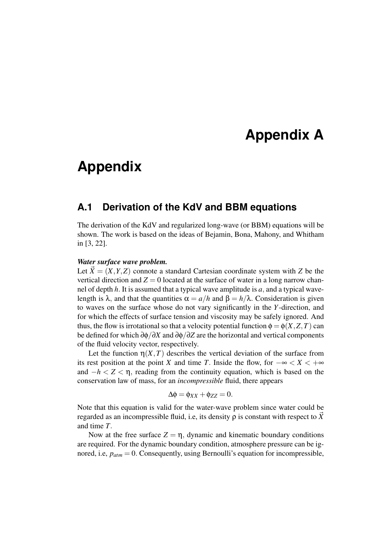# **Appendix A**

# **Appendix**

### **A.1 Derivation of the KdV and BBM equations**

The derivation of the KdV and regularized long-wave (or BBM) equations will be shown. The work is based on the ideas of Bejamin, Bona, Mahony, and Whitham in [3, 22].

#### *Water surface wave problem.*

Let  $\vec{X} = (X, Y, Z)$  connote a standard Cartesian coordinate system with *Z* be the vertical direction and  $Z = 0$  located at the surface of water in a long narrow channel of depth *h*. It is assumed that a typical wave amplitude is *a*, and a typical wavelength is λ, and that the quantities  $\alpha = a/h$  and  $\beta = h/\lambda$ . Consideration is given to waves on the surface whose do not vary significantly in the *Y*-direction, and for which the effects of surface tension and viscosity may be safely ignored. And thus, the flow is irrotational so that a velocity potential function  $\phi = \phi(X, Z, T)$  can be defined for which ∂φ/∂*X* and ∂φ/∂*Z* are the horizontal and vertical components of the fluid velocity vector, respectively.

Let the function  $\eta(X,T)$  describes the vertical deviation of the surface from its rest position at the point *X* and time *T*. Inside the flow, for  $-\infty < X < +\infty$ and  $-h < Z < \eta$ , reading from the continuity equation, which is based on the conservation law of mass, for an *incompressible* fluid, there appears

$$
\Delta \phi = \phi_{XX} + \phi_{ZZ} = 0.
$$

Note that this equation is valid for the water-wave problem since water could be regarded as an incompressible fluid, i.e, its density  $\rho$  is constant with respect to  $\vec{X}$ and time *T*.

Now at the free surface  $Z = \eta$ , dynamic and kinematic boundary conditions are required. For the dynamic boundary condition, atmosphere pressure can be ignored, i.e, *patm* = 0. Consequently, using Bernoulli's equation for incompressible,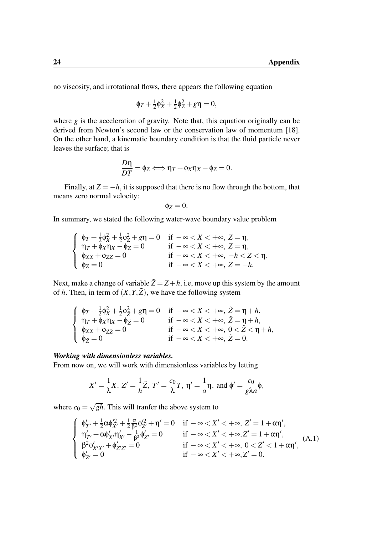no viscosity, and irrotational flows, there appears the following equation

$$
\phi_T + \frac{1}{2}\phi_X^2 + \frac{1}{2}\phi_Z^2 + g\eta = 0,
$$

where *g* is the acceleration of gravity. Note that, this equation originally can be derived from Newton's second law or the conservation law of momentum [18]. On the other hand, a kinematic boundary condition is that the fluid particle never leaves the surface; that is

$$
\frac{D\eta}{DT} = \phi_Z \Longleftrightarrow \eta_T + \phi_X \eta_X - \phi_Z = 0.
$$

Finally, at  $Z = -h$ , it is supposed that there is no flow through the bottom, that means zero normal velocity:

$$
\phi_Z=0.
$$

In summary, we stated the following water-wave boundary value problem

$$
\left\{\begin{array}{ll} \varphi_T+\frac{1}{2}\varphi_X^2+\frac{1}{2}\varphi_Z^2+g\eta=0&\text{ if } -\infty< X<+\infty,\ Z=\eta,\\ \eta_T+\varphi_X\eta_X-\varphi_Z=0&\text{ if } -\infty< X<+\infty,\ Z=\eta,\\ \varphi_{XX}+\varphi_{ZZ}=0&\text{ if } -\infty< X<+\infty,\ -h< Z< \eta,\\ \varphi_Z=0&\text{ if } -\infty< X<+\infty,\ Z=-h.\end{array}\right.
$$

Next, make a change of variable  $\tilde{Z} = Z + h$ , i.e, move up this system by the amount of *h*. Then, in term of  $(X, Y, \tilde{Z})$ , we have the following system

$$
\left\{\begin{array}{ll} \varphi_T+\frac{1}{2}\varphi_X^2+\frac{1}{2}\varphi_{\tilde{Z}}^2+g\eta=0 & \text{if } -\infty < X < +\infty,\ \tilde{Z}=\eta+h,\\ \eta_T+\varphi_X\eta_X-\varphi_{\tilde{Z}}=0 & \text{if } -\infty < X < +\infty,\ \tilde{Z}=\eta+h,\\ \varphi_{XX}+\varphi_{\tilde{Z}\tilde{Z}}=0 & \text{if } -\infty < X < +\infty,\ 0 < \tilde{Z} < \eta+h,\\ \varphi_{\tilde{Z}}=0 & \text{if } -\infty < X < +\infty,\ \tilde{Z}=0.\end{array}\right.
$$

#### *Working with dimensionless variables.*

From now on, we will work with dimensionless variables by letting

$$
X'=\frac{1}{\lambda}X, Z'=\frac{1}{h}\tilde{Z}, T'=\frac{c_0}{\lambda}T, \eta'=\frac{1}{a}\eta, \text{ and } \phi'=\frac{c_0}{g\lambda a}\phi,
$$

where  $c_0 =$ √ *gh*. This will tranfer the above system to

$$
\left\{\begin{array}{ll} \varphi'_{T'}+\frac{1}{2}\alpha\varphi_{X'}^2+\frac{1}{2}\frac{\alpha}{\beta^2}\varphi_{Z'}^2+\eta'=0 & \text{if } -\infty< X'<+\infty,\,Z'=1+\alpha\eta',\\ \eta'_{T'}+\alpha\varphi'_{X'}\eta'_{X'}-\frac{1}{\beta^2}\varphi'_{Z'}=0 & \text{if } -\infty< X'<+\infty, Z'=1+\alpha\eta',\\ \beta^2\varphi'_{X'X'}+\varphi'_{Z'Z'}=0 & \text{if } -\infty< X'<+\infty,\, 0< Z'<1+\alpha\eta',\\ \varphi'_{Z'}=0 & \text{if } -\infty< X'<+\infty, Z'=0. \end{array}\right. \tag{A.1}
$$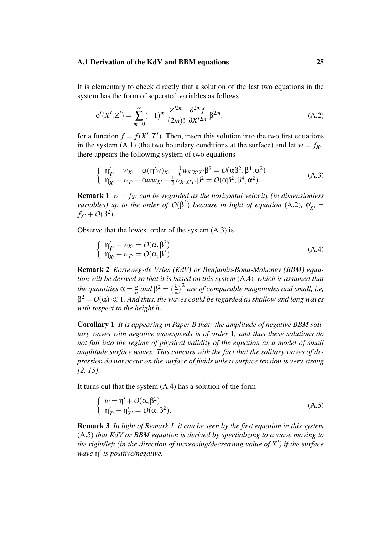It is elementary to check directly that a solution of the last two equations in the system has the form of seperated variables as follows

$$
\phi'(X', Z') = \sum_{m=0}^{\infty} (-1)^m \frac{Z'^{2m}}{(2m)!} \frac{\partial^{2m} f}{\partial X'^{2m}} \beta^{2m},
$$
 (A.2)

for a function  $f = f(X', T')$ . Then, insert this solution into the two first equations in the system (A.1) (the two boundary conditions at the surface) and let  $w = f_{X'}$ , there appears the following system of two equations

$$
\begin{cases}\n\eta'_{T'} + w_{X'} + \alpha (\eta' w)_{X'} - \frac{1}{6} w_{X'X'X'} \beta^2 = O(\alpha \beta^2, \beta^4, \alpha^2) \\
\eta'_{X'} + w_{T'} + \alpha w w_{X'} - \frac{1}{2} w_{X'X'T'} \beta^2 = O(\alpha \beta^2, \beta^4, \alpha^2).\n\end{cases} (A.3)
$$

**Remark 1**  $w = f_{X'}$  *can be regarded as the horizontal velocity (in dimensionless variables) up to the order of*  $O(\beta^2)$  *because in light of equation* (A.2),  $\phi'_{X'} =$ *f*<sub>*X'*</sub> + *O*(β<sup>2</sup>).

Observe that the lowest order of the system (A.3) is

$$
\begin{cases}\n\eta'_{T'} + w_{X'} = O(\alpha, \beta^2) \\
\eta'_{X'} + w_{T'} = O(\alpha, \beta^2).\n\end{cases}
$$
\n(A.4)

Remark 2 *Korteweg-de Vries (KdV) or Benjamin-Bona-Mahoney (BBM) equation will be derived so that it is based on this system* (A.4)*, which is assumed that the quantities*  $\alpha = \frac{a}{h}$  $\frac{a}{h}$  and  $\beta^2 = \left(\frac{h}{\lambda}\right)$  $\left(\frac{h}{\lambda}\right)^2$  are of comparable magnitudes and small, i.e,  $\beta^2 = O(\alpha) \ll 1.$  And thus, the waves could be regarded as shallow and long waves *with respect to the height h*.

Corollary 1 *It is appearing in Paper B that: the amplitude of negative BBM solitary waves with negative wavespeeds is of order* 1*, and thus these solutions do not fall into the regime of physical validity of the equation as a model of small amplitude surface waves. This concurs with the fact that the solitary waves of depression do not occur on the surface of fluids unless surface tension is very strong [2, 15].*

It turns out that the system (A.4) has a solution of the form

$$
\begin{cases}\nw = \eta' + O(\alpha, \beta^2) \\
\eta'_{T'} + \eta'_{X'} = O(\alpha, \beta^2).\n\end{cases}
$$
\n(A.5)

Remark 3 *In light of Remark 1, it can be seen by the first equation in this system* (A.5) *that KdV or BBM equation is derived by spectializing to a wave moving to the right/left (in the direction of increasing/decreasing value of X*<sup>0</sup> *) if the surface wave*  $η'$  *is positive/negative.*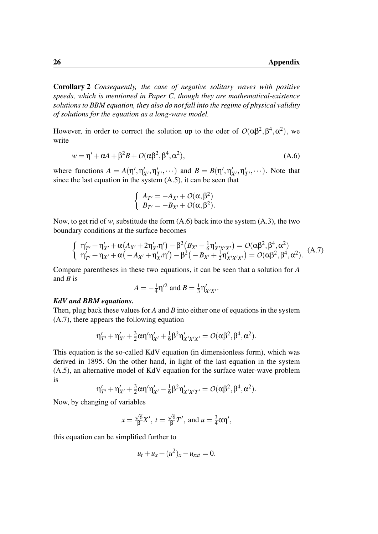Corollary 2 *Consequently, the case of negative solitary waves with positive speeds, which is mentioned in Paper C, though they are mathematical-existence solutions to BBM equation, they also do not fall into the regime of physical validity of solutions for the equation as a long-wave model.*

However, in order to correct the solution up to the oder of  $O(\alpha\beta^2, \beta^4, \alpha^2)$ , we write

$$
w = \eta' + \alpha A + \beta^2 B + O(\alpha \beta^2, \beta^4, \alpha^2), \tag{A.6}
$$

where functions  $A = A(\eta', \eta'_{X'}, \eta'_{X'})$  $\mathcal{I}'_{T'}$ ,  $\cdots$ ) and  $B = B(\eta', \eta'_{X'}, \eta'_{Y})$  $T'_{T}$ ,  $\dots$ ). Note that since the last equation in the system (A.5), it can be seen that

$$
\begin{cases}\nA_{T'} = -A_{X'} + O(\alpha, \beta^2) \\
B_{T'} = -B_{X'} + O(\alpha, \beta^2).\n\end{cases}
$$

Now, to get rid of *w*, substitude the form (A.6) back into the system (A.3), the two boundary conditions at the surface becomes

$$
\begin{cases}\n\eta'_{T'} + \eta'_{X'} + \alpha (A_{X'} + 2\eta'_{X'}\eta') - \beta^2 (B_{X'} - \frac{1}{6}\eta'_{X'X'X'}) = O(\alpha\beta^2, \beta^4, \alpha^2) \\
\eta'_{T'} + \eta_{X'} + \alpha (-A_{X'} + \eta'_{X'}\eta') - \beta^2 (-B_{X'} + \frac{1}{2}\eta'_{X'X'X'}) = O(\alpha\beta^2, \beta^4, \alpha^2).\n\end{cases} (A.7)
$$

Compare parentheses in these two equations, it can be seen that a solution for *A* and *B* is

$$
A = -\frac{1}{4}\eta'^2 \text{ and } B = \frac{1}{3}\eta'_{X'X'}.
$$

#### *KdV and BBM equations.*

Then, plug back these values for *A* and *B* into either one of equations in the system (A.7), there appears the following equation

$$
\eta'_{T'} + \eta'_{X'} + \frac{3}{2}\alpha\eta'\eta'_{X'} + \frac{1}{6}\beta^2\eta'_{X'X'X'} = \mathcal{O}(\alpha\beta^2, \beta^4, \alpha^2).
$$

This equation is the so-called KdV equation (in dimensionless form), which was derived in 1895. On the other hand, in light of the last equation in the system (A.5), an alternative model of KdV equation for the surface water-wave problem is

$$
\eta'_{T'} + \eta'_{X'} + \tfrac{3}{2} \alpha \eta' \eta'_{X'} - \tfrac{1}{6} \beta^2 \eta'_{X'X'T'} = \mathcal{O}(\alpha \beta^2, \beta^4, \alpha^2).
$$

Now, by changing of variables

$$
x = \frac{\sqrt{6}}{\beta}X', t = \frac{\sqrt{6}}{\beta}T', \text{ and } u = \frac{3}{4}\alpha\eta',
$$

this equation can be simplified further to

$$
u_t + u_x + (u^2)_x - u_{xxt} = 0.
$$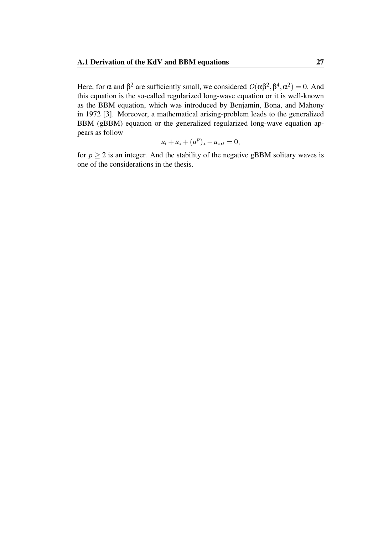Here, for  $\alpha$  and  $\beta^2$  are sufficiently small, we considered  $O(\alpha\beta^2, \beta^4, \alpha^2) = 0$ . And this equation is the so-called regularized long-wave equation or it is well-known as the BBM equation, which was introduced by Benjamin, Bona, and Mahony in 1972 [3]. Moreover, a mathematical arising-problem leads to the generalized BBM (gBBM) equation or the generalized regularized long-wave equation appears as follow

$$
u_t + u_x + (u^p)_x - u_{xxt} = 0,
$$

for  $p \geq 2$  is an integer. And the stability of the negative gBBM solitary waves is one of the considerations in the thesis.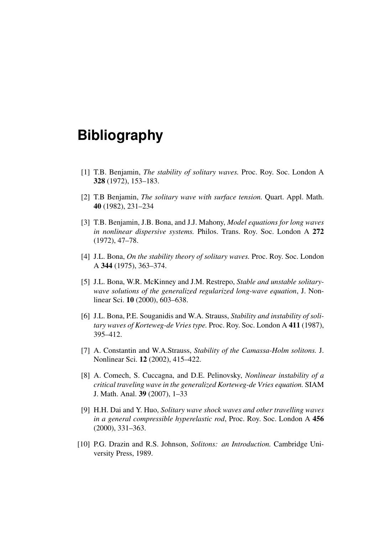## **Bibliography**

- [1] T.B. Benjamin, *The stability of solitary waves.* Proc. Roy. Soc. London A 328 (1972), 153–183.
- [2] T.B Benjamin, *The solitary wave with surface tension.* Quart. Appl. Math. 40 (1982), 231–234
- [3] T.B. Benjamin, J.B. Bona, and J.J. Mahony, *Model equations for long waves in nonlinear dispersive systems.* Philos. Trans. Roy. Soc. London A 272 (1972), 47–78.
- [4] J.L. Bona, *On the stability theory of solitary waves.* Proc. Roy. Soc. London A 344 (1975), 363–374.
- [5] J.L. Bona, W.R. McKinney and J.M. Restrepo, *Stable and unstable solitarywave solutions of the generalized regularized long-wave equation*, J. Nonlinear Sci. 10 (2000), 603–638.
- [6] J.L. Bona, P.E. Souganidis and W.A. Strauss, *Stability and instability of solitary waves of Korteweg-de Vries type.* Proc. Roy. Soc. London A 411 (1987), 395–412.
- [7] A. Constantin and W.A.Strauss, *Stability of the Camassa-Holm solitons.* J. Nonlinear Sci. 12 (2002), 415–422.
- [8] A. Comech, S. Cuccagna, and D.E. Pelinovsky, *Nonlinear instability of a critical traveling wave in the generalized Korteweg-de Vries equation.* SIAM J. Math. Anal. 39 (2007), 1–33
- [9] H.H. Dai and Y. Huo, *Solitary wave shock waves and other travelling waves in a general compressible hyperelastic rod*, Proc. Roy. Soc. London A 456 (2000), 331–363.
- [10] P.G. Drazin and R.S. Johnson, *Solitons: an Introduction.* Cambridge University Press, 1989.